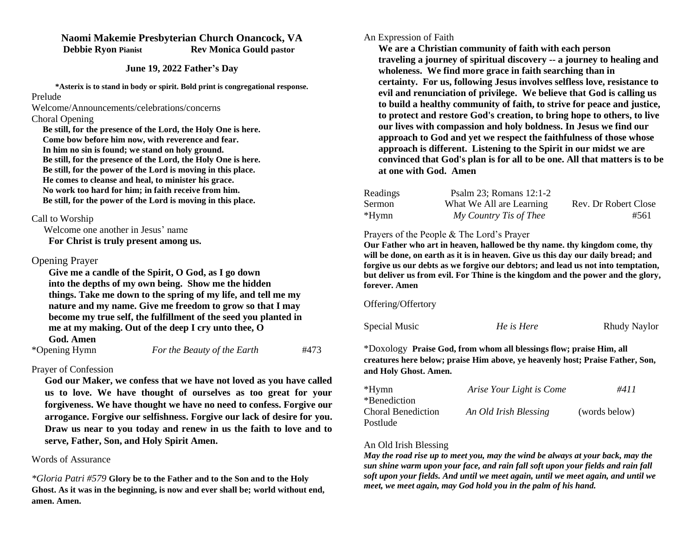## **Naomi Makemie Presbyterian Church Onancock, VA Debbie Ryon Pianist Rev Monica Gould pastor**

**June 19, 2022 Father's Day**

**\*Asterix is to stand in body or spirit. Bold print is congregational response.** Prelude

Welcome/Announcements/celebrations/concerns

#### Choral Opening

 **Be still, for the presence of the Lord, the Holy One is here. Come bow before him now, with reverence and fear. In him no sin is found; we stand on holy ground. Be still, for the presence of the Lord, the Holy One is here. Be still, for the power of the Lord is moving in this place. He comes to cleanse and heal, to minister his grace. No work too hard for him; in faith receive from him. Be still, for the power of the Lord is moving in this place.**

### Call to Worship

Welcome one another in Jesus' name

**For Christ is truly present among us.** 

### Opening Prayer

 **Give me a candle of the Spirit, O God, as I go down into the depths of my own being. Show me the hidden things. Take me down to the spring of my life, and tell me my nature and my name. Give me freedom to grow so that I may become my true self, the fulfillment of the seed you planted in me at my making. Out of the deep I cry unto thee, O God. Amen** 

| *Opening Hymn | For the Beauty of the Earth | #473 |
|---------------|-----------------------------|------|

# Prayer of Confession

**God our Maker, we confess that we have not loved as you have called us to love. We have thought of ourselves as too great for your forgiveness. We have thought we have no need to confess. Forgive our arrogance. Forgive our selfishness. Forgive our lack of desire for you. Draw us near to you today and renew in us the faith to love and to serve, Father, Son, and Holy Spirit Amen.** 

### Words of Assurance

*\*Gloria Patri #579* **Glory be to the Father and to the Son and to the Holy Ghost. As it was in the beginning, is now and ever shall be; world without end, amen. Amen.** 

#### An Expression of Faith

 **We are a Christian community of faith with each person traveling a journey of spiritual discovery -- a journey to healing and wholeness. We find more grace in faith searching than in certainty. For us, following Jesus involves selfless love, resistance to evil and renunciation of privilege. We believe that God is calling us to build a healthy community of faith, to strive for peace and justice, to protect and restore God's creation, to bring hope to others, to live our lives with compassion and holy boldness. In Jesus we find our approach to God and yet we respect the faithfulness of those whose approach is different. Listening to the Spirit in our midst we are convinced that God's plan is for all to be one. All that matters is to be at one with God. Amen**

| Readings | Psalm $23$ ; Romans $12:1-2$ |                      |
|----------|------------------------------|----------------------|
| Sermon   | What We All are Learning     | Rev. Dr Robert Close |
| *Hymn    | My Country Tis of Thee       | #561                 |

### Prayers of the People & The Lord's Prayer

**Our Father who art in heaven, hallowed be thy name. thy kingdom come, thy will be done, on earth as it is in heaven. Give us this day our daily bread; and forgive us our debts as we forgive our debtors; and lead us not into temptation, but deliver us from evil. For Thine is the kingdom and the power and the glory, forever. Amen**

Offering/Offertory

Special Music *He is Here* Rhudy Naylor

\*Doxology **Praise God, from whom all blessings flow; praise Him, all creatures here below; praise Him above, ye heavenly host; Praise Father, Son, and Holy Ghost. Amen.** 

| *Hymn              | Arise Your Light is Come | #411          |
|--------------------|--------------------------|---------------|
| *Benediction       |                          |               |
| Choral Benediction | An Old Irish Blessing    | (words below) |
| Postlude           |                          |               |

# An Old Irish Blessing

*May the road rise up to meet you, may the wind be always at your back, may the sun shine warm upon your face, and rain fall soft upon your fields and rain fall soft upon your fields. And until we meet again, until we meet again, and until we meet, we meet again, may God hold you in the palm of his hand.*